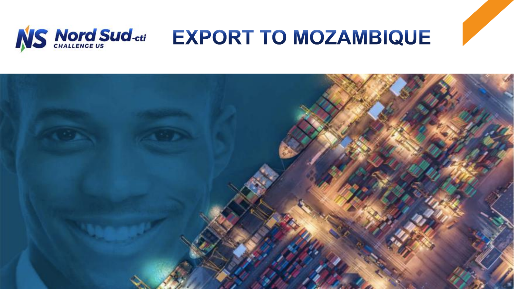

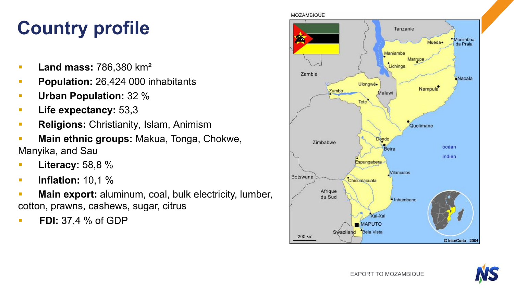# **Country profile**

- § **Land mass:** 786,380 km²
- **Population:** 26,424 000 inhabitants
- § **Urban Population:** 32 %
- § **Life expectancy:** 53,3
- § **Religions:** Christianity, Islam, Animism
- § **Main ethnic groups:** Makua, Tonga, Chokwe, Manyika, and Sau
- § **Literacy:** 58,8 %
- § **Inflation:** 10,1 %
- **Main export:** aluminum, coal, bulk electricity, lumber, cotton, prawns, cashews, sugar, citrus
- § **FDI:** 37,4 % of GDP



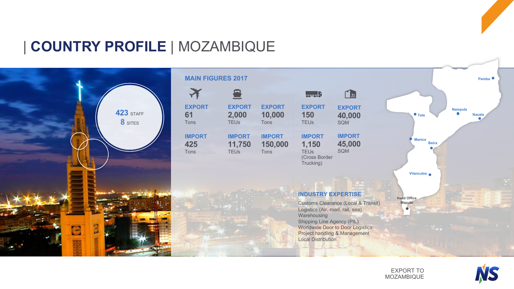# | **COUNTRY PROFILE** | MOZAMBIQUE



| <b>MAIN FIGURES 2017</b>     |                                        |                                  |                                                                     |                                       |  |
|------------------------------|----------------------------------------|----------------------------------|---------------------------------------------------------------------|---------------------------------------|--|
|                              |                                        |                                  | $0 - 0 - 0$                                                         | <u>  tt</u>                           |  |
| <b>EXPORT</b><br>61<br>Tons  | <b>EXPORT</b><br>2,000<br><b>TEUs</b>  | <b>EXPORT</b><br>10,000<br>Tons  | <b>EXPORT</b><br>150<br><b>TEUs</b>                                 | <b>EXPORT</b><br>40,000<br><b>SQM</b> |  |
| <b>IMPORT</b><br>425<br>Tons | <b>IMPORT</b><br>11,750<br><b>TEUs</b> | <b>IMPORT</b><br>150,000<br>Tons | <b>IMPORT</b><br>1,150<br><b>TEUs</b><br>(Cross Border<br>Trucking) | <b>IMPORT</b><br>45,000<br><b>SQM</b> |  |
|                              |                                        |                                  |                                                                     |                                       |  |

#### **INDUSTRY EXPERTISE**

Customs Clearance (Local & Transit) Logistics (Air, road, rail, sea) **Warehousing** Shipping Line Agency (PIL) Worldwide Door to Door Logistics Project handling & Management Local Distribution

**Head Office Maputo**

**Manica Beira**

**Vilanculos**

**Tete Nacala Nampula**



**Pemba**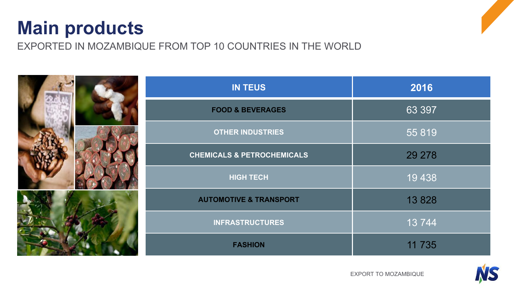# **Main products**

EXPORTED IN MOZAMBIQUE FROM TOP 10 COUNTRIES IN THE WORLD



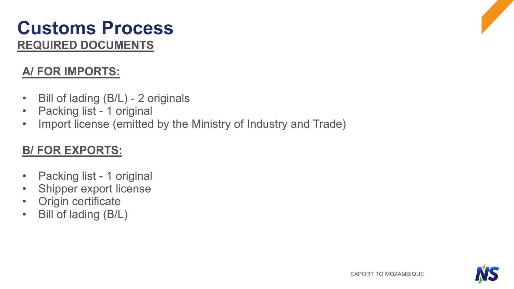# **REQUIRED DOCUMENTS Customs Process**

### **A/ FOR IMPORTS:**

- Bill of lading (B/L) 2 originals
- Packing list 1 original
- Import license (emitted by the Ministry of Industry and Trade)

### **B/ FOR EXPORTS:**

- Packing list 1 original
- Shipper export license
- Origin certificate
- Bill of lading (B/L)

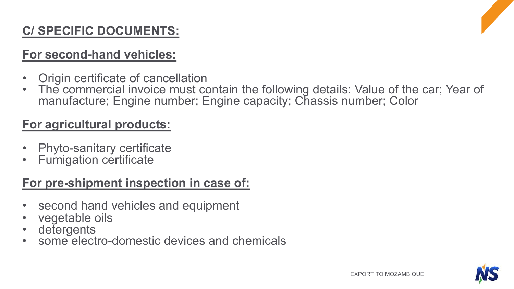# **C/ SPECIFIC DOCUMENTS:**

### **For second-hand vehicles:**

- 
- Origin certificate of cancellation The commercial invoice must contain the following details: Value of the car; Year of manufacture; Engine number; Engine capacity; Chassis number; Color

### **For agricultural products:**

- Phyto-sanitary certificate Fumigation certificate
- 

## **For pre-shipment inspection in case of:**

- second hand vehicles and equipment
- 
- 
- vegetable oils detergents some electro-domestic devices and chemicals

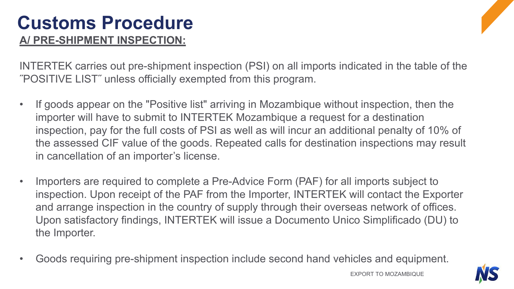# **Customs Procedure A/ PRE-SHIPMENT INSPECTION:**



- If goods appear on the "Positive list" arriving in Mozambique without inspection, then the importer will have to submit to INTERTEK Mozambique a request for a destination inspection, pay for the full costs of PSI as well as will incur an additional penalty of 10% of the assessed CIF value of the goods. Repeated calls for destination inspections may result in cancellation of an importer's license.
- Importers are required to complete a Pre-Advice Form (PAF) for all imports subject to inspection. Upon receipt of the PAF from the Importer, INTERTEK will contact the Exporter and arrange inspection in the country of supply through their overseas network of offices. Upon satisfactory findings, INTERTEK will issue a Documento Unico Simplificado (DU) to the Importer.
- Goods requiring pre-shipment inspection include second hand vehicles and equipment.

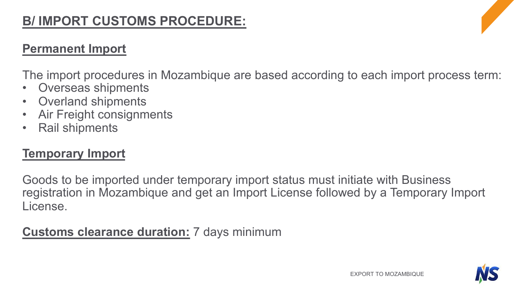# **B/ IMPORT CUSTOMS PROCEDURE:**

#### **Permanent Import**

The import procedures in Mozambique are based according to each import process term:

- Overseas shipments
- Overland shipments
- Air Freight consignments
- Rail shipments

### **Temporary Import**

Goods to be imported under temporary import status must initiate with Business registration in Mozambique and get an Import License followed by a Temporary Import License.

### **Customs clearance duration:** 7 days minimum

EXPORT TO MOZAMBIQUE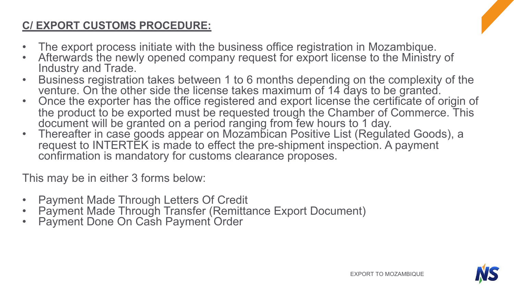### **C/ EXPORT CUSTOMS PROCEDURE:**

- The export process initiate with the business office registration in Mozambique.<br>• Afterwards the newly opened company request for export license to the Ministry of
- 
- Industry and Trade.<br>
 Business registration takes between 1 to 6 months depending on the complexity of the<br>
venture. On the other side the license takes maximum of 14 days to be granted.
- Once the exporter has the office registered and export license the certificate of origin of the product to be exported must be requested trough the Chamber of Commerce. This document will be granted on a period ranging from few hours to 1 day.
- Thereafter in case goods appear on Mozambican Positive List (Regulated Goods), a request to INTERTEK is made to effect the pre-shipment inspection. A payment confirmation is mandatory for customs clearance proposes.

This may be in either 3 forms below:

- 
- Payment Made Through Letters Of Credit Payment Made Through Transfer (Remittance Export Document) Payment Done On Cash Payment Order
- 

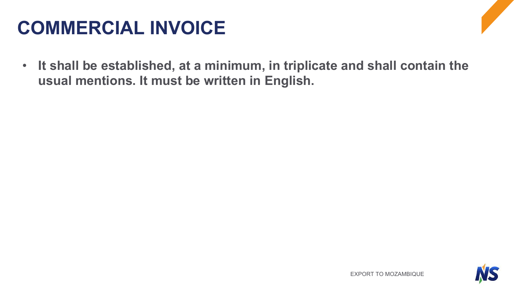# **COMMERCIAL INVOICE**

• **It shall be established, at a minimum, in triplicate and shall contain the usual mentions. It must be written in English.**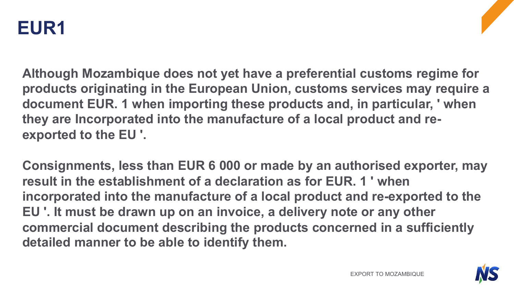

**Although Mozambique does not yet have a preferential customs regime for products originating in the European Union, customs services may require a document EUR. 1 when importing these products and, in particular, ' when they are Incorporated into the manufacture of a local product and reexported to the EU '.**

**Consignments, less than EUR 6 000 or made by an authorised exporter, may result in the establishment of a declaration as for EUR. 1 ' when incorporated into the manufacture of a local product and re-exported to the EU '. It must be drawn up on an invoice, a delivery note or any other commercial document describing the products concerned in a sufficiently detailed manner to be able to identify them.**

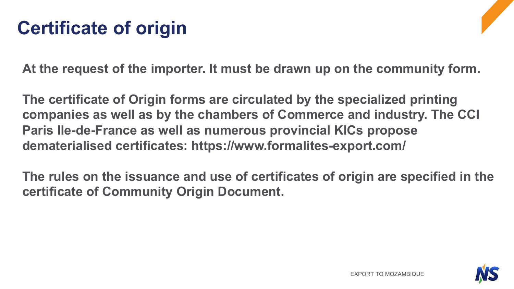# **Certificate of origin**

**At the request of the importer. It must be drawn up on the community form.**

**The certificate of Origin forms are circulated by the specialized printing companies as well as by the chambers of Commerce and industry. The CCI Paris Ile-de-France as well as numerous provincial KICs propose dematerialised certificates: https://www.formalites-export.com/**

**The rules on the issuance and use of certificates of origin are specified in the certificate of Community Origin Document.**

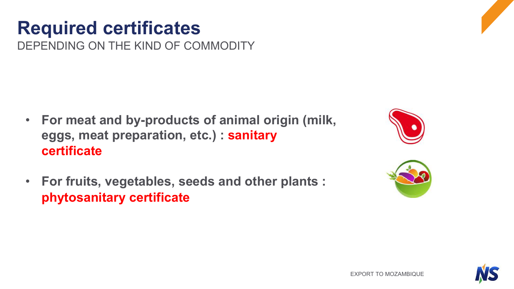• **For fruits, vegetables, seeds and other plants : phytosanitary certificate**



# **Required certificates**

**certificate**

DEPENDING ON THE KIND OF COMMODITY

• **For meat and by-products of animal origin (milk, eggs, meat preparation, etc.) : sanitary** 



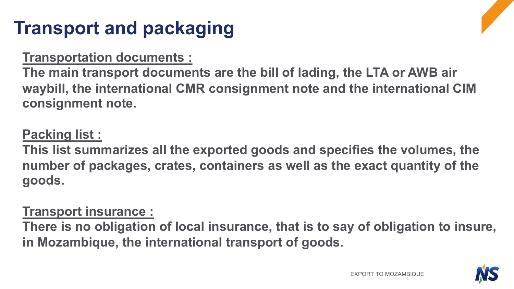# **Transport and packaging**

### **Transportation documents :**

**The main transport documents are the bill of lading, the LTA or AWB air waybill, the international CMR consignment note and the international CIM consignment note.**

# **Packing list :**

**This list summarizes all the exported goods and specifies the volumes, the number of packages, crates, containers as well as the exact quantity of the goods.** 

## **Transport insurance :**

**There is no obligation of local insurance, that is to say of obligation to insure, in Mozambique, the international transport of goods.** 

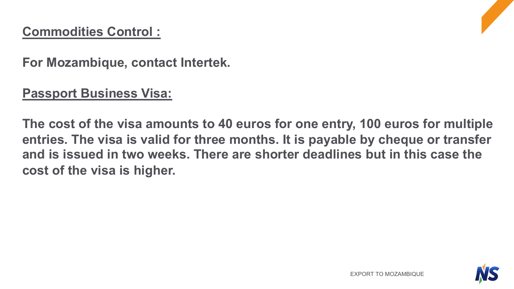# **Commodities Control :**

**For Mozambique, contact Intertek.**

### **Passport Business Visa:**

**The cost of the visa amounts to 40 euros for one entry, 100 euros for multiple entries. The visa is valid for three months. It is payable by cheque or transfer and is issued in two weeks. There are shorter deadlines but in this case the cost of the visa is higher.**

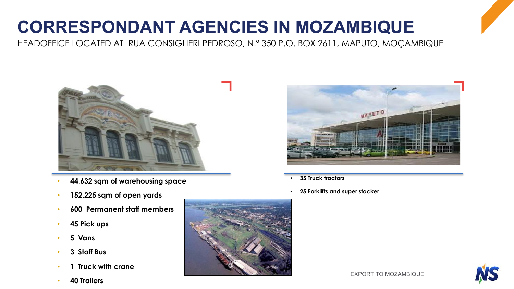# **CORRESPONDANT AGENCIES IN MOZAMBIQUE**

HEADOFFICE LOCATED AT RUA CONSIGLIERI PEDROSO, N.º 350 P.O. BOX 2611, MAPUTO, MOÇAMBIQUE



- **44,632 sqm of warehousing space**
- **152,225 sqm of open yards**
- **600 Permanent staff members**
- **45 Pick ups**
- **5 Vans**
- **3 Staff Bus**
- **1 Truck with crane**
- **40 Trailers**





- **35 Truck tractors**
- **25 Forklifts and super stacker**